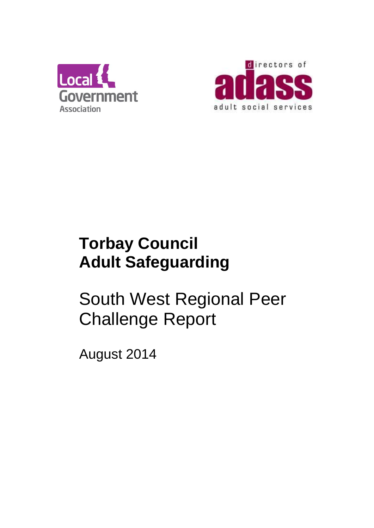



## **Torbay Council Adult Safeguarding**

# South West Regional Peer Challenge Report

August 2014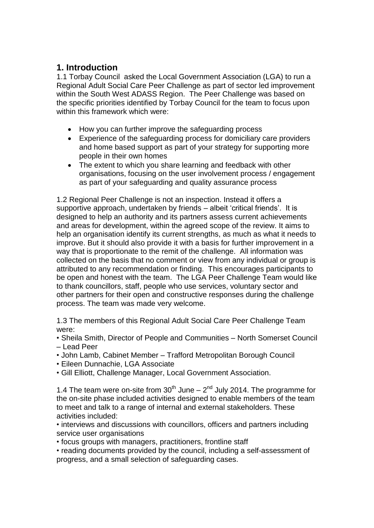### **1. Introduction**

1.1 Torbay Council asked the Local Government Association (LGA) to run a Regional Adult Social Care Peer Challenge as part of sector led improvement within the South West ADASS Region. The Peer Challenge was based on the specific priorities identified by Torbay Council for the team to focus upon within this framework which were:

- How you can further improve the safeguarding process
- Experience of the safeguarding process for domiciliary care providers and home based support as part of your strategy for supporting more people in their own homes
- The extent to which you share learning and feedback with other organisations, focusing on the user involvement process / engagement as part of your safeguarding and quality assurance process

1.2 Regional Peer Challenge is not an inspection. Instead it offers a supportive approach, undertaken by friends – albeit 'critical friends'. It is designed to help an authority and its partners assess current achievements and areas for development, within the agreed scope of the review. It aims to help an organisation identify its current strengths, as much as what it needs to improve. But it should also provide it with a basis for further improvement in a way that is proportionate to the remit of the challenge. All information was collected on the basis that no comment or view from any individual or group is attributed to any recommendation or finding. This encourages participants to be open and honest with the team. The LGA Peer Challenge Team would like to thank councillors, staff, people who use services, voluntary sector and other partners for their open and constructive responses during the challenge process. The team was made very welcome.

1.3 The members of this Regional Adult Social Care Peer Challenge Team were:

• Sheila Smith, Director of People and Communities – North Somerset Council – Lead Peer

- John Lamb, Cabinet Member Trafford Metropolitan Borough Council
- Eileen Dunnachie, LGA Associate
- Gill Elliott, Challenge Manager, Local Government Association.

1.4 The team were on-site from  $30<sup>th</sup>$  June  $-2<sup>nd</sup>$  July 2014. The programme for the on-site phase included activities designed to enable members of the team to meet and talk to a range of internal and external stakeholders. These activities included:

• interviews and discussions with councillors, officers and partners including service user organisations

• focus groups with managers, practitioners, frontline staff

• reading documents provided by the council, including a self-assessment of progress, and a small selection of safeguarding cases.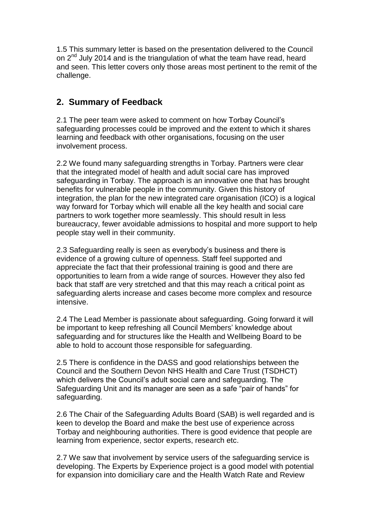1.5 This summary letter is based on the presentation delivered to the Council on 2<sup>nd</sup> July 2014 and is the triangulation of what the team have read, heard and seen. This letter covers only those areas most pertinent to the remit of the challenge.

## **2. Summary of Feedback**

2.1 The peer team were asked to comment on how Torbay Council's safeguarding processes could be improved and the extent to which it shares learning and feedback with other organisations, focusing on the user involvement process.

2.2 We found many safeguarding strengths in Torbay. Partners were clear that the integrated model of health and adult social care has improved safeguarding in Torbay. The approach is an innovative one that has brought benefits for vulnerable people in the community. Given this history of integration, the plan for the new integrated care organisation (ICO) is a logical way forward for Torbay which will enable all the key health and social care partners to work together more seamlessly. This should result in less bureaucracy, fewer avoidable admissions to hospital and more support to help people stay well in their community.

2.3 Safeguarding really is seen as everybody's business and there is evidence of a growing culture of openness. Staff feel supported and appreciate the fact that their professional training is good and there are opportunities to learn from a wide range of sources. However they also fed back that staff are very stretched and that this may reach a critical point as safeguarding alerts increase and cases become more complex and resource intensive.

2.4 The Lead Member is passionate about safeguarding. Going forward it will be important to keep refreshing all Council Members' knowledge about safeguarding and for structures like the Health and Wellbeing Board to be able to hold to account those responsible for safeguarding.

2.5 There is confidence in the DASS and good relationships between the Council and the Southern Devon NHS Health and Care Trust (TSDHCT) which delivers the Council's adult social care and safeguarding. The Safeguarding Unit and its manager are seen as a safe "pair of hands" for safeguarding.

2.6 The Chair of the Safeguarding Adults Board (SAB) is well regarded and is keen to develop the Board and make the best use of experience across Torbay and neighbouring authorities. There is good evidence that people are learning from experience, sector experts, research etc.

2.7 We saw that involvement by service users of the safeguarding service is developing. The Experts by Experience project is a good model with potential for expansion into domiciliary care and the Health Watch Rate and Review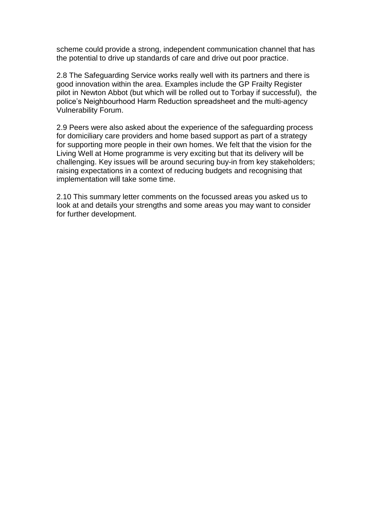scheme could provide a strong, independent communication channel that has the potential to drive up standards of care and drive out poor practice.

2.8 The Safeguarding Service works really well with its partners and there is good innovation within the area. Examples include the GP Frailty Register pilot in Newton Abbot (but which will be rolled out to Torbay if successful), the police's Neighbourhood Harm Reduction spreadsheet and the multi-agency Vulnerability Forum.

2.9 Peers were also asked about the experience of the safeguarding process for domiciliary care providers and home based support as part of a strategy for supporting more people in their own homes. We felt that the vision for the Living Well at Home programme is very exciting but that its delivery will be challenging. Key issues will be around securing buy-in from key stakeholders; raising expectations in a context of reducing budgets and recognising that implementation will take some time.

2.10 This summary letter comments on the focussed areas you asked us to look at and details your strengths and some areas you may want to consider for further development.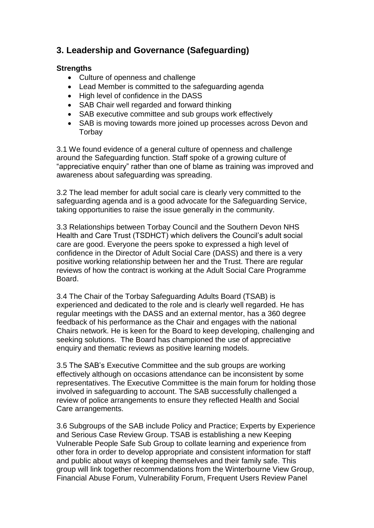## **3. Leadership and Governance (Safeguarding)**

#### **Strengths**

- Culture of openness and challenge
- Lead Member is committed to the safeguarding agenda
- High level of confidence in the DASS
- SAB Chair well regarded and forward thinking
- SAB executive committee and sub groups work effectively
- SAB is moving towards more joined up processes across Devon and **Torbay**

3.1 We found evidence of a general culture of openness and challenge around the Safeguarding function. Staff spoke of a growing culture of "appreciative enquiry" rather than one of blame as training was improved and awareness about safeguarding was spreading.

3.2 The lead member for adult social care is clearly very committed to the safeguarding agenda and is a good advocate for the Safeguarding Service, taking opportunities to raise the issue generally in the community.

3.3 Relationships between Torbay Council and the Southern Devon NHS Health and Care Trust (TSDHCT) which delivers the Council's adult social care are good. Everyone the peers spoke to expressed a high level of confidence in the Director of Adult Social Care (DASS) and there is a very positive working relationship between her and the Trust. There are regular reviews of how the contract is working at the Adult Social Care Programme Board.

3.4 The Chair of the Torbay Safeguarding Adults Board (TSAB) is experienced and dedicated to the role and is clearly well regarded. He has regular meetings with the DASS and an external mentor, has a 360 degree feedback of his performance as the Chair and engages with the national Chairs network. He is keen for the Board to keep developing, challenging and seeking solutions. The Board has championed the use of appreciative enquiry and thematic reviews as positive learning models.

3.5 The SAB's Executive Committee and the sub groups are working effectively although on occasions attendance can be inconsistent by some representatives. The Executive Committee is the main forum for holding those involved in safeguarding to account. The SAB successfully challenged a review of police arrangements to ensure they reflected Health and Social Care arrangements.

3.6 Subgroups of the SAB include Policy and Practice; Experts by Experience and Serious Case Review Group. TSAB is establishing a new Keeping Vulnerable People Safe Sub Group to collate learning and experience from other fora in order to develop appropriate and consistent information for staff and public about ways of keeping themselves and their family safe. This group will link together recommendations from the Winterbourne View Group, Financial Abuse Forum, Vulnerability Forum, Frequent Users Review Panel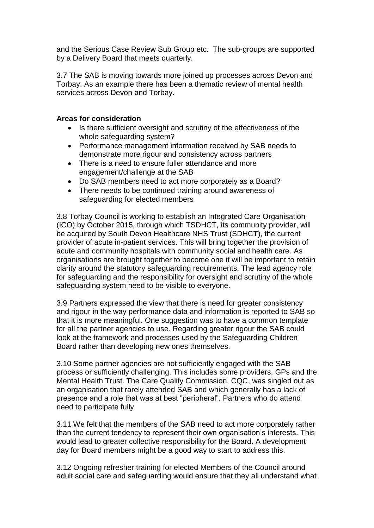and the Serious Case Review Sub Group etc. The sub-groups are supported by a Delivery Board that meets quarterly.

3.7 The SAB is moving towards more joined up processes across Devon and Torbay. As an example there has been a thematic review of mental health services across Devon and Torbay.

#### **Areas for consideration**

- Is there sufficient oversight and scrutiny of the effectiveness of the whole safeguarding system?
- Performance management information received by SAB needs to demonstrate more rigour and consistency across partners
- There is a need to ensure fuller attendance and more engagement/challenge at the SAB
- Do SAB members need to act more corporately as a Board?
- There needs to be continued training around awareness of safeguarding for elected members

3.8 Torbay Council is working to establish an Integrated Care Organisation (ICO) by October 2015, through which TSDHCT, its community provider, will be acquired by South Devon Healthcare NHS Trust (SDHCT), the current provider of acute in-patient services. This will bring together the provision of acute and community hospitals with community social and health care. As organisations are brought together to become one it will be important to retain clarity around the statutory safeguarding requirements. The lead agency role for safeguarding and the responsibility for oversight and scrutiny of the whole safeguarding system need to be visible to everyone.

3.9 Partners expressed the view that there is need for greater consistency and rigour in the way performance data and information is reported to SAB so that it is more meaningful. One suggestion was to have a common template for all the partner agencies to use. Regarding greater rigour the SAB could look at the framework and processes used by the Safeguarding Children Board rather than developing new ones themselves.

3.10 Some partner agencies are not sufficiently engaged with the SAB process or sufficiently challenging. This includes some providers, GPs and the Mental Health Trust. The Care Quality Commission, CQC, was singled out as an organisation that rarely attended SAB and which generally has a lack of presence and a role that was at best "peripheral". Partners who do attend need to participate fully.

3.11 We felt that the members of the SAB need to act more corporately rather than the current tendency to represent their own organisation's interests. This would lead to greater collective responsibility for the Board. A development day for Board members might be a good way to start to address this.

3.12 Ongoing refresher training for elected Members of the Council around adult social care and safeguarding would ensure that they all understand what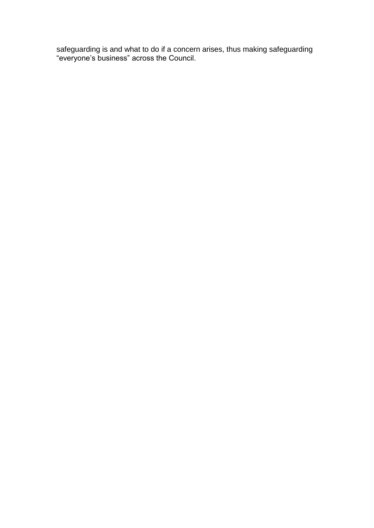safeguarding is and what to do if a concern arises, thus making safeguarding "everyone's business" across the Council.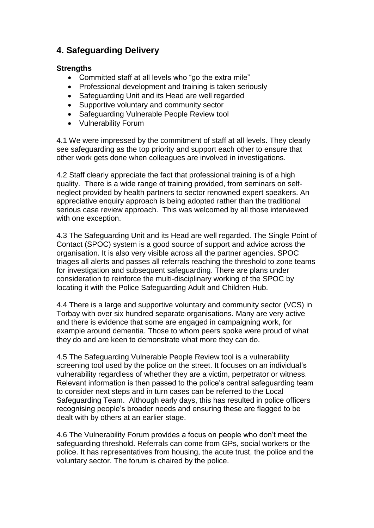## **4. Safeguarding Delivery**

#### **Strengths**

- Committed staff at all levels who "go the extra mile"
- Professional development and training is taken seriously
- Safeguarding Unit and its Head are well regarded
- Supportive voluntary and community sector
- Safeguarding Vulnerable People Review tool
- Vulnerability Forum

4.1 We were impressed by the commitment of staff at all levels. They clearly see safeguarding as the top priority and support each other to ensure that other work gets done when colleagues are involved in investigations.

4.2 Staff clearly appreciate the fact that professional training is of a high quality. There is a wide range of training provided, from seminars on selfneglect provided by health partners to sector renowned expert speakers. An appreciative enquiry approach is being adopted rather than the traditional serious case review approach. This was welcomed by all those interviewed with one exception.

4.3 The Safeguarding Unit and its Head are well regarded. The Single Point of Contact (SPOC) system is a good source of support and advice across the organisation. It is also very visible across all the partner agencies. SPOC triages all alerts and passes all referrals reaching the threshold to zone teams for investigation and subsequent safeguarding. There are plans under consideration to reinforce the multi-disciplinary working of the SPOC by locating it with the Police Safeguarding Adult and Children Hub.

4.4 There is a large and supportive voluntary and community sector (VCS) in Torbay with over six hundred separate organisations. Many are very active and there is evidence that some are engaged in campaigning work, for example around dementia. Those to whom peers spoke were proud of what they do and are keen to demonstrate what more they can do.

4.5 The Safeguarding Vulnerable People Review tool is a vulnerability screening tool used by the police on the street. It focuses on an individual's vulnerability regardless of whether they are a victim, perpetrator or witness. Relevant information is then passed to the police's central safeguarding team to consider next steps and in turn cases can be referred to the Local Safeguarding Team. Although early days, this has resulted in police officers recognising people's broader needs and ensuring these are flagged to be dealt with by others at an earlier stage.

4.6 The Vulnerability Forum provides a focus on people who don't meet the safeguarding threshold. Referrals can come from GPs, social workers or the police. It has representatives from housing, the acute trust, the police and the voluntary sector. The forum is chaired by the police.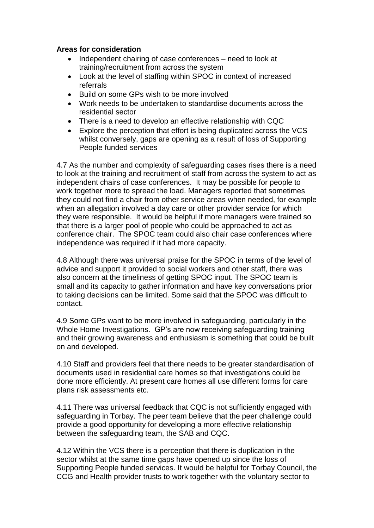#### **Areas for consideration**

- Independent chairing of case conferences need to look at training/recruitment from across the system
- Look at the level of staffing within SPOC in context of increased referrals
- Build on some GPs wish to be more involved
- Work needs to be undertaken to standardise documents across the residential sector
- There is a need to develop an effective relationship with CQC
- Explore the perception that effort is being duplicated across the VCS whilst conversely, gaps are opening as a result of loss of Supporting People funded services

4.7 As the number and complexity of safeguarding cases rises there is a need to look at the training and recruitment of staff from across the system to act as independent chairs of case conferences. It may be possible for people to work together more to spread the load. Managers reported that sometimes they could not find a chair from other service areas when needed, for example when an allegation involved a day care or other provider service for which they were responsible. It would be helpful if more managers were trained so that there is a larger pool of people who could be approached to act as conference chair. The SPOC team could also chair case conferences where independence was required if it had more capacity.

4.8 Although there was universal praise for the SPOC in terms of the level of advice and support it provided to social workers and other staff, there was also concern at the timeliness of getting SPOC input. The SPOC team is small and its capacity to gather information and have key conversations prior to taking decisions can be limited. Some said that the SPOC was difficult to contact.

4.9 Some GPs want to be more involved in safeguarding, particularly in the Whole Home Investigations. GP's are now receiving safeguarding training and their growing awareness and enthusiasm is something that could be built on and developed.

4.10 Staff and providers feel that there needs to be greater standardisation of documents used in residential care homes so that investigations could be done more efficiently. At present care homes all use different forms for care plans risk assessments etc.

4.11 There was universal feedback that CQC is not sufficiently engaged with safeguarding in Torbay. The peer team believe that the peer challenge could provide a good opportunity for developing a more effective relationship between the safeguarding team, the SAB and CQC.

4.12 Within the VCS there is a perception that there is duplication in the sector whilst at the same time gaps have opened up since the loss of Supporting People funded services. It would be helpful for Torbay Council, the CCG and Health provider trusts to work together with the voluntary sector to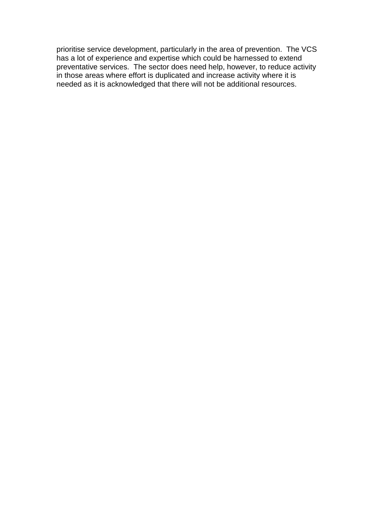prioritise service development, particularly in the area of prevention. The VCS has a lot of experience and expertise which could be harnessed to extend preventative services. The sector does need help, however, to reduce activity in those areas where effort is duplicated and increase activity where it is needed as it is acknowledged that there will not be additional resources.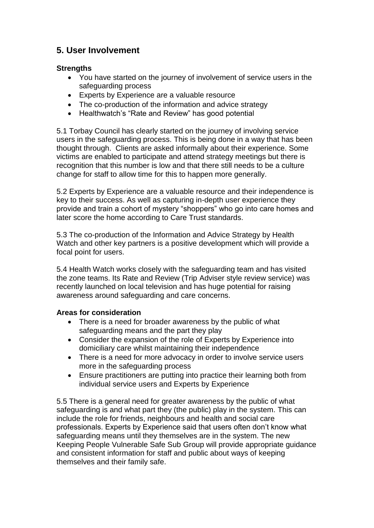## **5. User Involvement**

#### **Strengths**

- You have started on the journey of involvement of service users in the safeguarding process
- Experts by Experience are a valuable resource
- The co-production of the information and advice strategy
- Healthwatch's "Rate and Review" has good potential

5.1 Torbay Council has clearly started on the journey of involving service users in the safeguarding process. This is being done in a way that has been thought through. Clients are asked informally about their experience. Some victims are enabled to participate and attend strategy meetings but there is recognition that this number is low and that there still needs to be a culture change for staff to allow time for this to happen more generally.

5.2 Experts by Experience are a valuable resource and their independence is key to their success. As well as capturing in-depth user experience they provide and train a cohort of mystery "shoppers" who go into care homes and later score the home according to Care Trust standards.

5.3 The co-production of the Information and Advice Strategy by Health Watch and other key partners is a positive development which will provide a focal point for users.

5.4 Health Watch works closely with the safeguarding team and has visited the zone teams. Its Rate and Review (Trip Adviser style review service) was recently launched on local television and has huge potential for raising awareness around safeguarding and care concerns.

#### **Areas for consideration**

- There is a need for broader awareness by the public of what safeguarding means and the part they play
- Consider the expansion of the role of Experts by Experience into domiciliary care whilst maintaining their independence
- There is a need for more advocacy in order to involve service users more in the safeguarding process
- Ensure practitioners are putting into practice their learning both from individual service users and Experts by Experience

5.5 There is a general need for greater awareness by the public of what safeguarding is and what part they (the public) play in the system. This can include the role for friends, neighbours and health and social care professionals. Experts by Experience said that users often don't know what safeguarding means until they themselves are in the system. The new Keeping People Vulnerable Safe Sub Group will provide appropriate guidance and consistent information for staff and public about ways of keeping themselves and their family safe.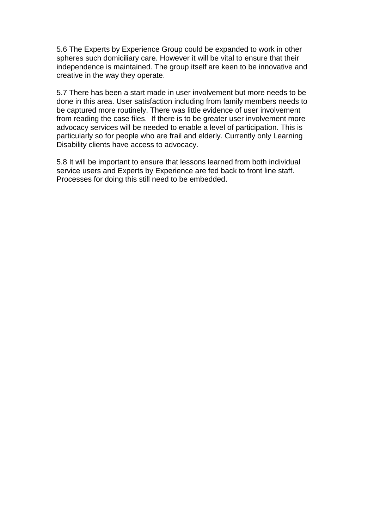5.6 The Experts by Experience Group could be expanded to work in other spheres such domiciliary care. However it will be vital to ensure that their independence is maintained. The group itself are keen to be innovative and creative in the way they operate.

5.7 There has been a start made in user involvement but more needs to be done in this area. User satisfaction including from family members needs to be captured more routinely. There was little evidence of user involvement from reading the case files. If there is to be greater user involvement more advocacy services will be needed to enable a level of participation. This is particularly so for people who are frail and elderly. Currently only Learning Disability clients have access to advocacy.

5.8 It will be important to ensure that lessons learned from both individual service users and Experts by Experience are fed back to front line staff. Processes for doing this still need to be embedded.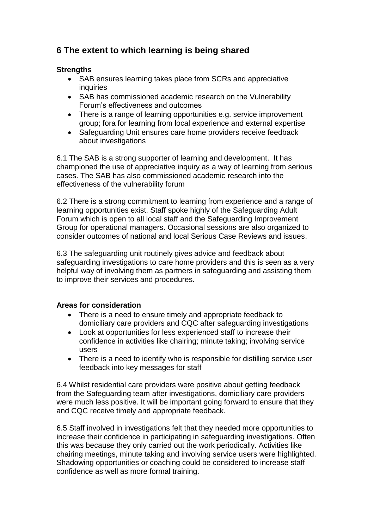## **6 The extent to which learning is being shared**

#### **Strengths**

- SAB ensures learning takes place from SCRs and appreciative **inquiries**
- SAB has commissioned academic research on the Vulnerability Forum's effectiveness and outcomes
- There is a range of learning opportunities e.g. service improvement group; fora for learning from local experience and external expertise
- Safeguarding Unit ensures care home providers receive feedback about investigations

6.1 The SAB is a strong supporter of learning and development. It has championed the use of appreciative inquiry as a way of learning from serious cases. The SAB has also commissioned academic research into the effectiveness of the vulnerability forum

6.2 There is a strong commitment to learning from experience and a range of learning opportunities exist. Staff spoke highly of the Safeguarding Adult Forum which is open to all local staff and the Safeguarding Improvement Group for operational managers. Occasional sessions are also organized to consider outcomes of national and local Serious Case Reviews and issues.

6.3 The safeguarding unit routinely gives advice and feedback about safeguarding investigations to care home providers and this is seen as a very helpful way of involving them as partners in safeguarding and assisting them to improve their services and procedures.

#### **Areas for consideration**

- There is a need to ensure timely and appropriate feedback to domiciliary care providers and CQC after safeguarding investigations
- Look at opportunities for less experienced staff to increase their confidence in activities like chairing; minute taking; involving service users
- There is a need to identify who is responsible for distilling service user feedback into key messages for staff

6.4 Whilst residential care providers were positive about getting feedback from the Safeguarding team after investigations, domiciliary care providers were much less positive. It will be important going forward to ensure that they and CQC receive timely and appropriate feedback.

6.5 Staff involved in investigations felt that they needed more opportunities to increase their confidence in participating in safeguarding investigations. Often this was because they only carried out the work periodically. Activities like chairing meetings, minute taking and involving service users were highlighted. Shadowing opportunities or coaching could be considered to increase staff confidence as well as more formal training.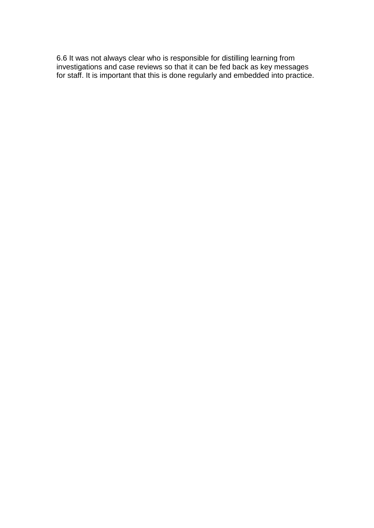6.6 It was not always clear who is responsible for distilling learning from investigations and case reviews so that it can be fed back as key messages for staff. It is important that this is done regularly and embedded into practice.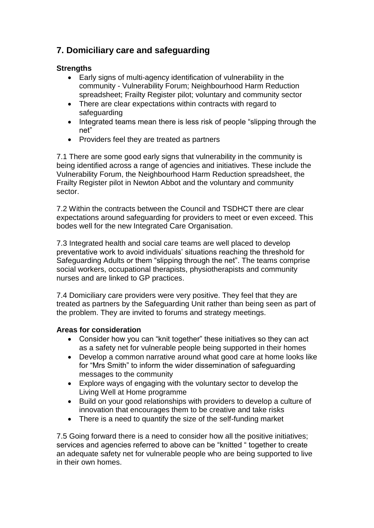## **7. Domiciliary care and safeguarding**

#### **Strengths**

- Early signs of multi-agency identification of vulnerability in the community - Vulnerability Forum; Neighbourhood Harm Reduction spreadsheet; Frailty Register pilot; voluntary and community sector
- There are clear expectations within contracts with regard to safeguarding
- Integrated teams mean there is less risk of people "slipping through the net"
- Providers feel they are treated as partners

7.1 There are some good early signs that vulnerability in the community is being identified across a range of agencies and initiatives. These include the Vulnerability Forum, the Neighbourhood Harm Reduction spreadsheet, the Frailty Register pilot in Newton Abbot and the voluntary and community sector.

7.2 Within the contracts between the Council and TSDHCT there are clear expectations around safeguarding for providers to meet or even exceed. This bodes well for the new Integrated Care Organisation.

7.3 Integrated health and social care teams are well placed to develop preventative work to avoid individuals' situations reaching the threshold for Safeguarding Adults or them "slipping through the net". The teams comprise social workers, occupational therapists, physiotherapists and community nurses and are linked to GP practices.

7.4 Domiciliary care providers were very positive. They feel that they are treated as partners by the Safeguarding Unit rather than being seen as part of the problem. They are invited to forums and strategy meetings.

#### **Areas for consideration**

- Consider how you can "knit together" these initiatives so they can act as a safety net for vulnerable people being supported in their homes
- Develop a common narrative around what good care at home looks like for "Mrs Smith" to inform the wider dissemination of safeguarding messages to the community
- Explore ways of engaging with the voluntary sector to develop the Living Well at Home programme
- Build on your good relationships with providers to develop a culture of innovation that encourages them to be creative and take risks
- There is a need to quantify the size of the self-funding market

7.5 Going forward there is a need to consider how all the positive initiatives; services and agencies referred to above can be "knitted " together to create an adequate safety net for vulnerable people who are being supported to live in their own homes.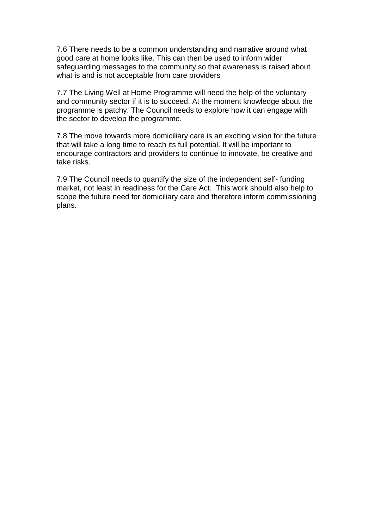7.6 There needs to be a common understanding and narrative around what good care at home looks like. This can then be used to inform wider safeguarding messages to the community so that awareness is raised about what is and is not acceptable from care providers

7.7 The Living Well at Home Programme will need the help of the voluntary and community sector if it is to succeed. At the moment knowledge about the programme is patchy. The Council needs to explore how it can engage with the sector to develop the programme.

7.8 The move towards more domiciliary care is an exciting vision for the future that will take a long time to reach its full potential. It will be important to encourage contractors and providers to continue to innovate, be creative and take risks.

7.9 The Council needs to quantify the size of the independent self- funding market, not least in readiness for the Care Act. This work should also help to scope the future need for domiciliary care and therefore inform commissioning plans.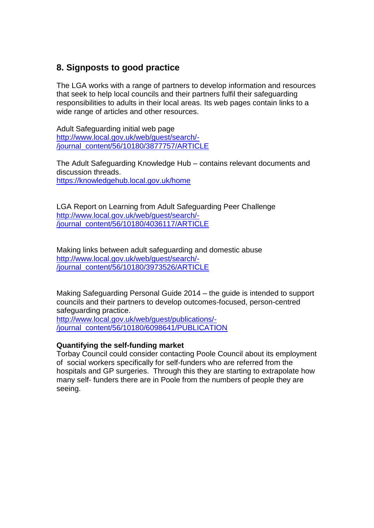## **8. Signposts to good practice**

The LGA works with a range of partners to develop information and resources that seek to help local councils and their partners fulfil their safeguarding responsibilities to adults in their local areas. Its web pages contain links to a wide range of articles and other resources.

Adult Safeguarding initial web page [http://www.local.gov.uk/web/guest/search/-](http://www.local.gov.uk/web/guest/search/-/journal_content/56/10180/3877757/ARTICLE) [/journal\\_content/56/10180/3877757/ARTICLE](http://www.local.gov.uk/web/guest/search/-/journal_content/56/10180/3877757/ARTICLE)

The Adult Safeguarding Knowledge Hub – contains relevant documents and discussion threads. <https://knowledgehub.local.gov.uk/home>

LGA Report on Learning from Adult Safeguarding Peer Challenge [http://www.local.gov.uk/web/guest/search/-](http://www.local.gov.uk/web/guest/search/-/journal_content/56/10180/4036117/ARTICLE) [/journal\\_content/56/10180/4036117/ARTICLE](http://www.local.gov.uk/web/guest/search/-/journal_content/56/10180/4036117/ARTICLE)

Making links between adult safeguarding and domestic abuse [http://www.local.gov.uk/web/guest/search/-](http://www.local.gov.uk/web/guest/search/-/journal_content/56/10180/3973526/ARTICLE) [/journal\\_content/56/10180/3973526/ARTICLE](http://www.local.gov.uk/web/guest/search/-/journal_content/56/10180/3973526/ARTICLE)

Making Safeguarding Personal Guide 2014 – the guide is intended to support councils and their partners to develop outcomes-focused, person-centred safeguarding practice.

[http://www.local.gov.uk/web/guest/publications/-](http://www.local.gov.uk/web/guest/publications/-/journal_content/56/10180/6098641/PUBLICATION) [/journal\\_content/56/10180/6098641/PUBLICATION](http://www.local.gov.uk/web/guest/publications/-/journal_content/56/10180/6098641/PUBLICATION)

#### **Quantifying the self-funding market**

Torbay Council could consider contacting Poole Council about its employment of social workers specifically for self-funders who are referred from the hospitals and GP surgeries. Through this they are starting to extrapolate how many self- funders there are in Poole from the numbers of people they are seeing.